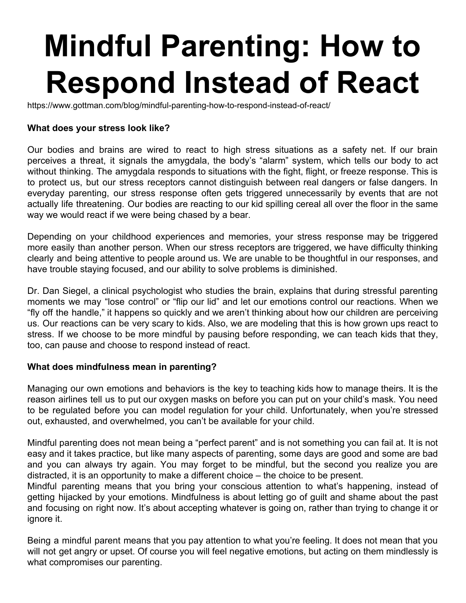# **Mindful Parenting: How to Respond Instead of React**

https://www.gottman.com/blog/mindful-parenting-how-to-respond-instead-of-react/

### **What does your stress look like?**

Our bodies and brains are wired to react to high stress situations as a safety net. If our brain perceives a threat, it signals the amygdala, the body's "alarm" system, which tells our body to act without thinking. The amygdala responds to situations with the fight, flight, or freeze response. This is to protect us, but our stress receptors cannot distinguish between real dangers or false dangers. In everyday parenting, our stress response often gets triggered unnecessarily by events that are not actually life threatening. Our bodies are reacting to our kid spilling cereal all over the floor in the same way we would react if we were being chased by a bear.

Depending on your childhood experiences and memories, your stress response may be triggered more easily than another person. When our stress receptors are triggered, we have difficulty thinking clearly and being attentive to people around us. We are unable to be thoughtful in our responses, and have trouble staying focused, and our ability to solve problems is diminished.

Dr. Dan Siegel, a clinical psychologist who studies the brain, explains that during stressful parenting moments we may "lose control" or "flip our lid" and let our emotions control our reactions. When we "fly off the handle," it happens so quickly and we aren't thinking about how our children are perceiving us. Our reactions can be very scary to kids. Also, we are modeling that this is how grown ups react to stress. If we choose to be more mindful by pausing before responding, we can teach kids that they, too, can pause and choose to respond instead of react.

#### **What does mindfulness mean in parenting?**

Managing our own emotions and behaviors is the key to teaching kids how to manage theirs. It is the reason airlines tell us to put our oxygen masks on before you can put on your child's mask. You need to be regulated before you can model regulation for your child. Unfortunately, when you're stressed out, exhausted, and overwhelmed, you can't be available for your child.

Mindful parenting does not mean being a "perfect parent" and is not something you can fail at. It is not easy and it takes practice, but like many aspects of parenting, some days are good and some are bad and you can always try again. You may forget to be mindful, but the second you realize you are distracted, it is an opportunity to make a different choice – the choice to be present.

Mindful parenting means that you bring your conscious attention to what's happening, instead of getting hijacked by your emotions. Mindfulness is about letting go of guilt and shame about the past and focusing on right now. It's about accepting whatever is going on, rather than trying to change it or ignore it.

Being a mindful parent means that you pay attention to what you're feeling. It does not mean that you will not get angry or upset. Of course you will feel negative emotions, but acting on them mindlessly is what compromises our parenting.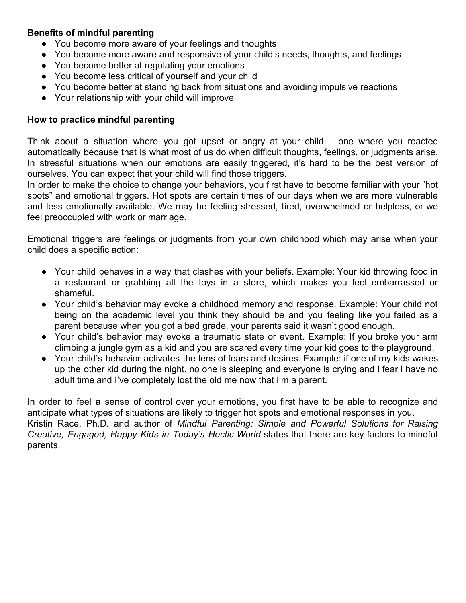## **Benefits of mindful parenting**

- You become more aware of your feelings and thoughts
- You become more aware and responsive of your child's needs, thoughts, and feelings
- You become better at regulating your emotions
- You become less critical of yourself and your child
- You become better at standing back from situations and avoiding impulsive reactions
- Your relationship with your child will improve

#### **How to practice mindful parenting**

Think about a situation where you got upset or angry at your child – one where you reacted automatically because that is what most of us do when difficult thoughts, feelings, or judgments arise. In stressful situations when our emotions are easily triggered, it's hard to be the best version of ourselves. You can expect that your child will find those triggers.

In order to make the choice to change your behaviors, you first have to become familiar with your "hot spots" and emotional triggers. Hot spots are certain times of our days when we are more vulnerable and less emotionally available. We may be feeling stressed, tired, overwhelmed or helpless, or we feel preoccupied with work or marriage.

Emotional triggers are feelings or judgments from your own childhood which may arise when your child does a specific action:

- Your child behaves in a way that clashes with your beliefs. Example: Your kid throwing food in a restaurant or grabbing all the toys in a store, which makes you feel embarrassed or shameful.
- Your child's behavior may evoke a childhood memory and response. Example: Your child not being on the academic level you think they should be and you feeling like you failed as a parent because when you got a bad grade, your parents said it wasn't good enough.
- Your child's behavior may evoke a traumatic state or event. Example: If you broke your arm climbing a jungle gym as a kid and you are scared every time your kid goes to the playground.
- Your child's behavior activates the lens of fears and desires. Example: if one of my kids wakes up the other kid during the night, no one is sleeping and everyone is crying and I fear I have no adult time and I've completely lost the old me now that I'm a parent.

In order to feel a sense of control over your emotions, you first have to be able to recognize and anticipate what types of situations are likely to trigger hot spots and emotional responses in you. Kristin Race, Ph.D. and author of *Mindful [Parenting:](https://www.amazon.com/Mindful-Parenting-Powerful-Solutions-Creative/dp/125002031X/ref=as_li_ss_tl?ie=UTF8&qid=1503066300&sr=8-1&keywords=Mindful+Parenting:+Simple+and+Powerful+Solutions+for+Raising+Creative,+Engaged,+Happy+Kids+in+Today%E2%80%99s+Hectic+World&linkCode=sl1&tag=parentco-20&linkId=445ed45a3974063e42b9a399119a7847) Simple and Powerful Solutions for Raising Creative, [Engaged,](https://www.amazon.com/Mindful-Parenting-Powerful-Solutions-Creative/dp/125002031X/ref=as_li_ss_tl?ie=UTF8&qid=1503066300&sr=8-1&keywords=Mindful+Parenting:+Simple+and+Powerful+Solutions+for+Raising+Creative,+Engaged,+Happy+Kids+in+Today%E2%80%99s+Hectic+World&linkCode=sl1&tag=parentco-20&linkId=445ed45a3974063e42b9a399119a7847) Happy Kids in Today's Hectic World* states that there are key factors to mindful parents.